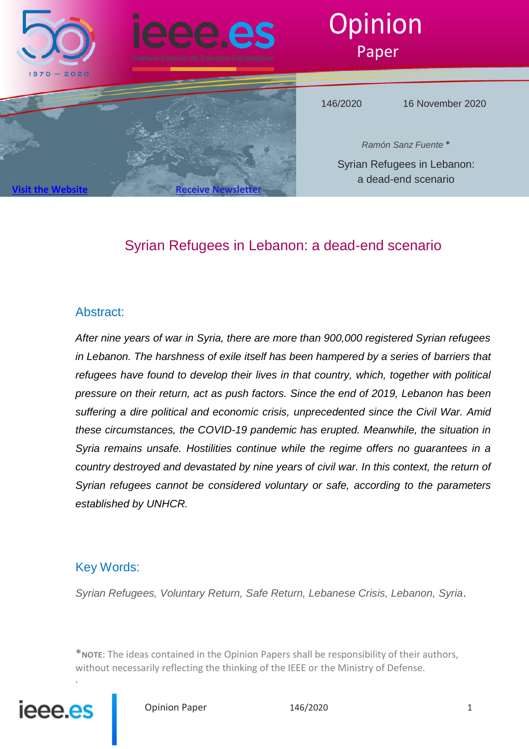

# Syrian Refugees in Lebanon: a dead-end scenario

# Abstract:

*After nine years of war in Syria, there are more than 900,000 registered Syrian refugees in Lebanon. The harshness of exile itself has been hampered by a series of barriers that refugees have found to develop their lives in that country, which, together with political pressure on their return, act as push factors. Since the end of 2019, Lebanon has been suffering a dire political and economic crisis, unprecedented since the Civil War. Amid these circumstances, the COVID-19 pandemic has erupted. Meanwhile, the situation in Syria remains unsafe. Hostilities continue while the regime offers no guarantees in a country destroyed and devastated by nine years of civil war. In this context, the return of Syrian refugees cannot be considered voluntary or safe, according to the parameters established by UNHCR.*

# Key Words:

*Syrian Refugees, Voluntary Return, Safe Return, Lebanese Crisis, Lebanon, Syria*.

**\*NOTE**: The ideas contained in the Opinion Papers shall be responsibility of their authors, without necessarily reflecting the thinking of the IEEE or the Ministry of Defense.



.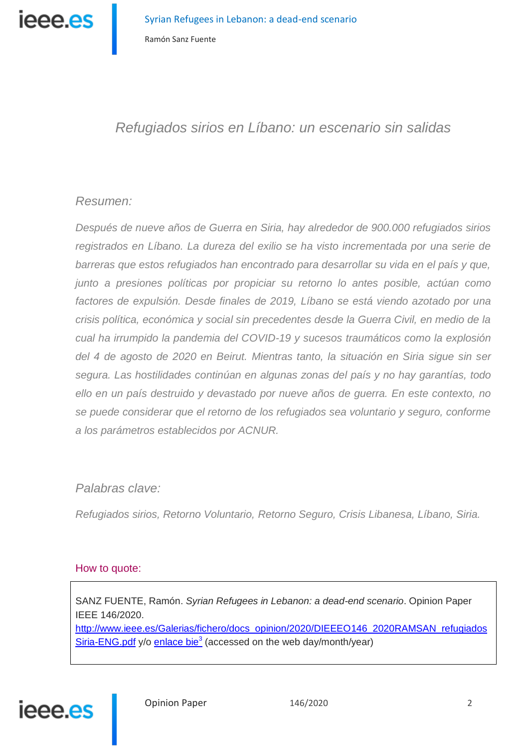

# *Refugiados sirios en Líbano: un escenario sin salidas*

# *Resumen:*

*Después de nueve años de Guerra en Siria, hay alrededor de 900.000 refugiados sirios registrados en Líbano. La dureza del exilio se ha visto incrementada por una serie de barreras que estos refugiados han encontrado para desarrollar su vida en el país y que, junto a presiones políticas por propiciar su retorno lo antes posible, actúan como factores de expulsión. Desde finales de 2019, Líbano se está viendo azotado por una crisis política, económica y social sin precedentes desde la Guerra Civil, en medio de la cual ha irrumpido la pandemia del COVID-19 y sucesos traumáticos como la explosión del 4 de agosto de 2020 en Beirut. Mientras tanto, la situación en Siria sigue sin ser segura. Las hostilidades continúan en algunas zonas del país y no hay garantías, todo ello en un país destruido y devastado por nueve años de guerra. En este contexto, no se puede considerar que el retorno de los refugiados sea voluntario y seguro, conforme a los parámetros establecidos por ACNUR.* 

# *Palabras clave:*

*Refugiados sirios, Retorno Voluntario, Retorno Seguro, Crisis Libanesa, Líbano, Siria.*

### How to quote:

SANZ FUENTE, Ramón. *Syrian Refugees in Lebanon: a dead-end scenario*. Opinion Paper IEEE 146/2020. http://www.ieee.es/Galerias/fichero/docs\_opinion/2020/DIEEEO146\_2020RAMSAN\_refugiados Siria-ENG.pdf y/o enlace bie<sup>3</sup> (accessed on the web day/month/year)

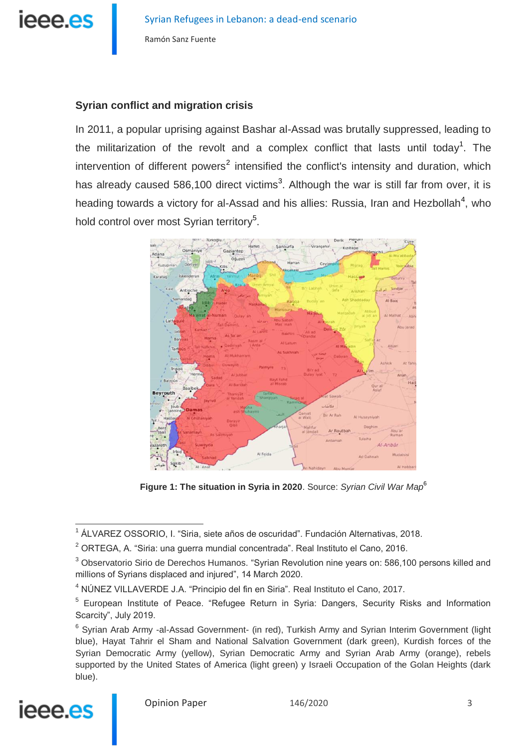

## **Syrian conflict and migration crisis**

In 2011, a popular uprising against Bashar al-Assad was brutally suppressed, leading to the militarization of the revolt and a complex conflict that lasts until today<sup>1</sup>. The intervention of different powers<sup>2</sup> intensified the conflict's intensity and duration, which has already caused 586,100 direct victims<sup>3</sup>. Although the war is still far from over, it is heading towards a victory for al-Assad and his allies: Russia, Iran and Hezbollah<sup>4</sup>, who hold control over most Syrian territory<sup>5</sup>.



**Figure 1: The situation in Syria in 2020**. Source: *Syrian Civil War Map*<sup>6</sup>

<sup>&</sup>lt;sup>6</sup> Syrian Arab Army -al-Assad Government- (in red), Turkish Army and Syrian Interim Government (light blue), Hayat Tahrir el Sham and National Salvation Government (dark green), Kurdish forces of the Syrian Democratic Army (yellow), Syrian Democratic Army and Syrian Arab Army (orange), rebels supported by the United States of America (light green) y Israeli Occupation of the Golan Heights (dark blue).



 $\overline{a}$ <sup>1</sup> ÁLVAREZ OSSORIO, I. "Siria, siete años de oscuridad". Fundación Alternativas, 2018.

 $2$  ORTEGA, A. "Siria: una guerra mundial concentrada". Real Instituto el Cano, 2016.

<sup>&</sup>lt;sup>3</sup> Observatorio Sirio de Derechos Humanos. "Svrian Revolution nine vears on: 586,100 persons killed and millions of Syrians displaced and injured", 14 March 2020.

<sup>4</sup> NÚNEZ VILLAVERDE J.A. "Principio del fin en Siria". Real Instituto el Cano, 2017.

<sup>&</sup>lt;sup>5</sup> European Institute of Peace. "Refugee Return in Syria: Dangers, Security Risks and Information Scarcity", July 2019.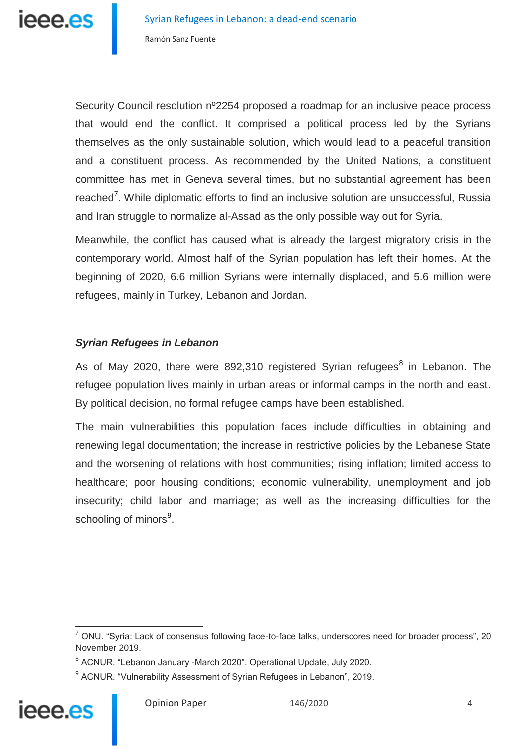Security Council resolution nº2254 proposed a roadmap for an inclusive peace process that would end the conflict. It comprised a political process led by the Syrians themselves as the only sustainable solution, which would lead to a peaceful transition and a constituent process. As recommended by the United Nations, a constituent committee has met in Geneva several times, but no substantial agreement has been reached<sup>7</sup>. While diplomatic efforts to find an inclusive solution are unsuccessful, Russia and Iran struggle to normalize al-Assad as the only possible way out for Syria.

Meanwhile, the conflict has caused what is already the largest migratory crisis in the contemporary world. Almost half of the Syrian population has left their homes. At the beginning of 2020, 6.6 million Syrians were internally displaced, and 5.6 million were refugees, mainly in Turkey, Lebanon and Jordan.

# *Syrian Refugees in Lebanon*

As of May 2020, there were 892,310 registered Syrian refugees<sup>8</sup> in Lebanon. The refugee population lives mainly in urban areas or informal camps in the north and east. By political decision, no formal refugee camps have been established.

The main vulnerabilities this population faces include difficulties in obtaining and renewing legal documentation; the increase in restrictive policies by the Lebanese State and the worsening of relations with host communities; rising inflation; limited access to healthcare; poor housing conditions; economic vulnerability, unemployment and job insecurity; child labor and marriage; as well as the increasing difficulties for the schooling of minors<sup>9</sup>.

<sup>&</sup>lt;sup>9</sup> ACNUR. "Vulnerability Assessment of Syrian Refugees in Lebanon", 2019.



 $\overline{a}$  $^7$  ONU. "Syria: Lack of consensus following face-to-face talks, underscores need for broader process", 20 November 2019.

<sup>&</sup>lt;sup>8</sup> ACNUR. "Lebanon January -March 2020". Operational Update, July 2020.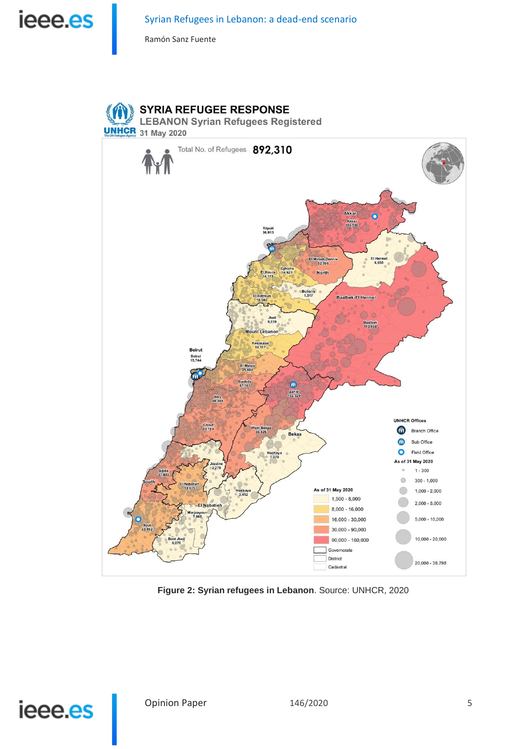



**Figure 2: Syrian refugees in Lebanon**. Source: UNHCR, 2020

# ieee.es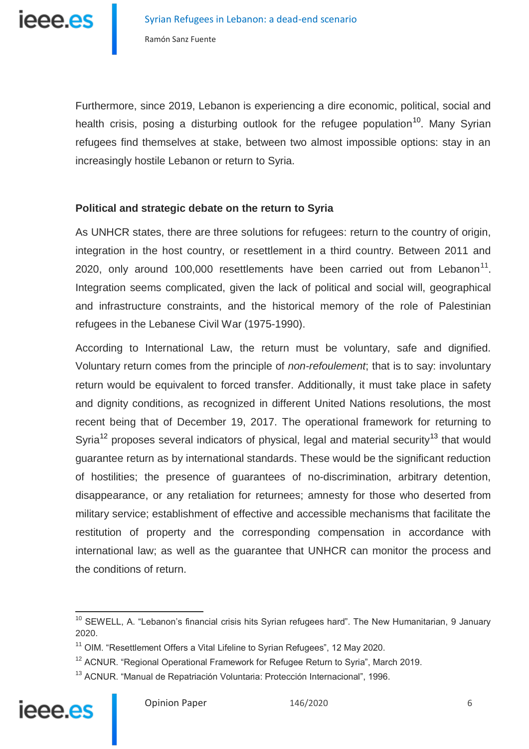

Furthermore, since 2019, Lebanon is experiencing a dire economic, political, social and health crisis, posing a disturbing outlook for the refugee population<sup>10</sup>. Many Syrian refugees find themselves at stake, between two almost impossible options: stay in an increasingly hostile Lebanon or return to Syria.

## **Political and strategic debate on the return to Syria**

As UNHCR states, there are three solutions for refugees: return to the country of origin, integration in the host country, or resettlement in a third country. Between 2011 and 2020, only around 100,000 resettlements have been carried out from Lebanon<sup>11</sup>. Integration seems complicated, given the lack of political and social will, geographical and infrastructure constraints, and the historical memory of the role of Palestinian refugees in the Lebanese Civil War (1975-1990).

According to International Law, the return must be voluntary, safe and dignified. Voluntary return comes from the principle of *non-refoulement*; that is to say: involuntary return would be equivalent to forced transfer. Additionally, it must take place in safety and dignity conditions, as recognized in different United Nations resolutions, the most recent being that of December 19, 2017. The operational framework for returning to Syria<sup>12</sup> proposes several indicators of physical, legal and material security<sup>13</sup> that would guarantee return as by international standards. These would be the significant reduction of hostilities; the presence of guarantees of no-discrimination, arbitrary detention, disappearance, or any retaliation for returnees; amnesty for those who deserted from military service; establishment of effective and accessible mechanisms that facilitate the restitution of property and the corresponding compensation in accordance with international law; as well as the guarantee that UNHCR can monitor the process and the conditions of return.

<sup>13</sup> ACNUR. "Manual de Repatriación Voluntaria: Protección Internacional", 1996.



<sup>&</sup>lt;sup>10</sup> SEWELL, A. "Lebanon's financial crisis hits Syrian refugees hard". The New Humanitarian, 9 January 2020.

 $11$  OIM. "Resettlement Offers a Vital Lifeline to Syrian Refugees", 12 May 2020.

 $12$  ACNUR. "Regional Operational Framework for Refugee Return to Syria", March 2019.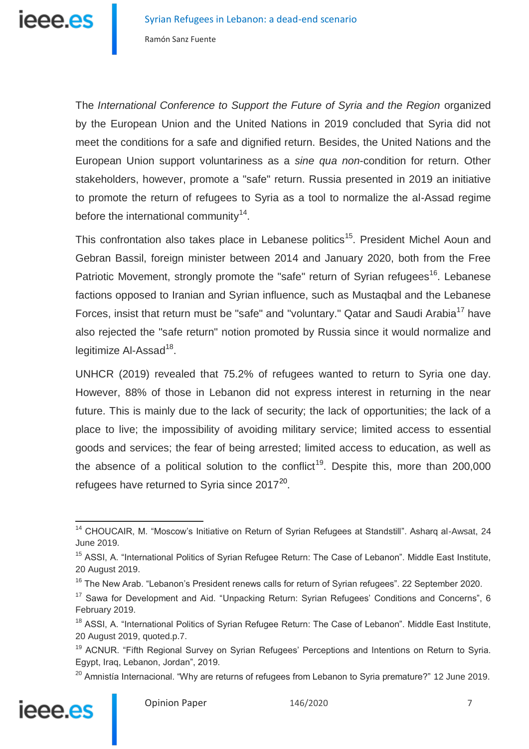

The *International Conference to Support the Future of Syria and the Region* organized by the European Union and the United Nations in 2019 concluded that Syria did not meet the conditions for a safe and dignified return. Besides, the United Nations and the European Union support voluntariness as a *sine qua non*-condition for return. Other stakeholders, however, promote a "safe" return. Russia presented in 2019 an initiative to promote the return of refugees to Syria as a tool to normalize the al-Assad regime before the international community $14$ .

This confrontation also takes place in Lebanese politics<sup>15</sup>. President Michel Aoun and Gebran Bassil, foreign minister between 2014 and January 2020, both from the Free Patriotic Movement, strongly promote the "safe" return of Syrian refugees<sup>16</sup>. Lebanese factions opposed to Iranian and Syrian influence, such as Mustaqbal and the Lebanese Forces, insist that return must be "safe" and "voluntary." Qatar and Saudi Arabia<sup>17</sup> have also rejected the "safe return" notion promoted by Russia since it would normalize and legitimize Al-Assad<sup>18</sup>.

UNHCR (2019) revealed that 75.2% of refugees wanted to return to Syria one day. However, 88% of those in Lebanon did not express interest in returning in the near future. This is mainly due to the lack of security; the lack of opportunities; the lack of a place to live; the impossibility of avoiding military service; limited access to essential goods and services; the fear of being arrested; limited access to education, as well as the absence of a political solution to the conflict<sup>19</sup>. Despite this, more than  $200,000$ refugees have returned to Syria since 2017 $^{20}$ .

 $20$  Amnistia Internacional. "Why are returns of refugees from Lebanon to Syria premature?" 12 June 2019.



<sup>&</sup>lt;sup>14</sup> CHOUCAIR, M. "Moscow's Initiative on Return of Syrian Refugees at Standstill". Asharq al-Awsat, 24 June 2019.

<sup>&</sup>lt;sup>15</sup> ASSI, A. "International Politics of Syrian Refugee Return: The Case of Lebanon". Middle East Institute, 20 August 2019.

 $16$  The New Arab. "Lebanon's President renews calls for return of Syrian refugees". 22 September 2020.

 $17$  Sawa for Development and Aid. "Unpacking Return: Syrian Refugees' Conditions and Concerns", 6 February 2019.

<sup>&</sup>lt;sup>18</sup> ASSI, A. "International Politics of Syrian Refugee Return: The Case of Lebanon". Middle East Institute, 20 August 2019, quoted.p.7.

<sup>&</sup>lt;sup>19</sup> ACNUR. "Fifth Regional Survey on Syrian Refugees' Perceptions and Intentions on Return to Syria. Egypt, Iraq, Lebanon, Jordan", 2019.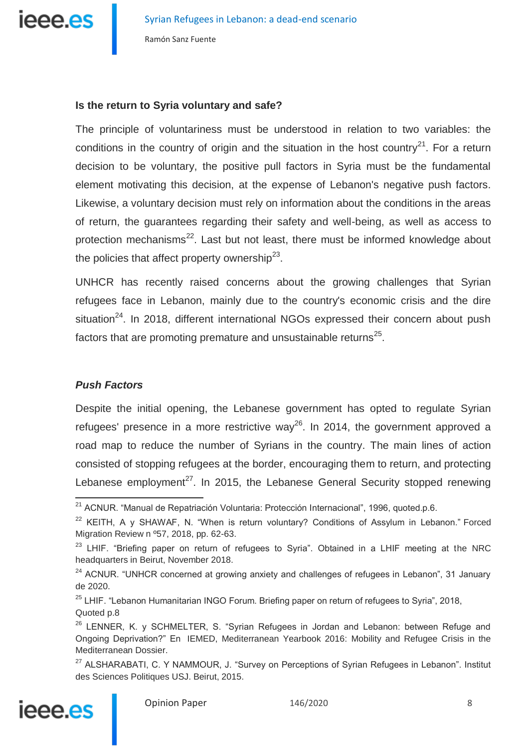

### **Is the return to Syria voluntary and safe?**

The principle of voluntariness must be understood in relation to two variables: the conditions in the country of origin and the situation in the host country<sup>21</sup>. For a return decision to be voluntary, the positive pull factors in Syria must be the fundamental element motivating this decision, at the expense of Lebanon's negative push factors. Likewise, a voluntary decision must rely on information about the conditions in the areas of return, the guarantees regarding their safety and well-being, as well as access to protection mechanisms $^{22}$ . Last but not least, there must be informed knowledge about the policies that affect property ownership<sup>23</sup>.

UNHCR has recently raised concerns about the growing challenges that Syrian refugees face in Lebanon, mainly due to the country's economic crisis and the dire situation<sup>24</sup>. In 2018, different international NGOs expressed their concern about push factors that are promoting premature and unsustainable returns<sup>25</sup>.

# *Push Factors*

Despite the initial opening, the Lebanese government has opted to regulate Syrian refugees' presence in a more restrictive way<sup>26</sup>. In 2014, the government approved a road map to reduce the number of Syrians in the country. The main lines of action consisted of stopping refugees at the border, encouraging them to return, and protecting Lebanese employment<sup>27</sup>. In 2015, the Lebanese General Security stopped renewing

<sup>&</sup>lt;sup>27</sup> ALSHARABATI, C. Y NAMMOUR, J. "Survey on Perceptions of Syrian Refugees in Lebanon". Institut des Sciences Politiques USJ. Beirut, 2015.



Opinion Paper 146/2020 8

j <sup>21</sup> ACNUR. "Manual de Repatriación Voluntaria: Protección Internacional", 1996, quoted.p.6.

<sup>&</sup>lt;sup>22</sup> KEITH, A y SHAWAF, N. "When is return voluntary? Conditions of Assylum in Lebanon." Forced Migration Review n º57, 2018, pp. 62-63.

<sup>&</sup>lt;sup>23</sup> LHIF. "Briefing paper on return of refugees to Syria". Obtained in a LHIF meeting at the NRC headquarters in Beirut, November 2018.

<sup>&</sup>lt;sup>24</sup> ACNUR. "UNHCR concerned at growing anxiety and challenges of refugees in Lebanon", 31 January de 2020.

 $25$  LHIF. "Lebanon Humanitarian INGO Forum. Briefing paper on return of refugees to Syria", 2018, Quoted p.8

<sup>&</sup>lt;sup>26</sup> LENNER, K. y SCHMELTER, S. "Syrian Refugees in Jordan and Lebanon: between Refuge and Ongoing Deprivation?" En IEMED, Mediterranean Yearbook 2016: Mobility and Refugee Crisis in the Mediterranean Dossier.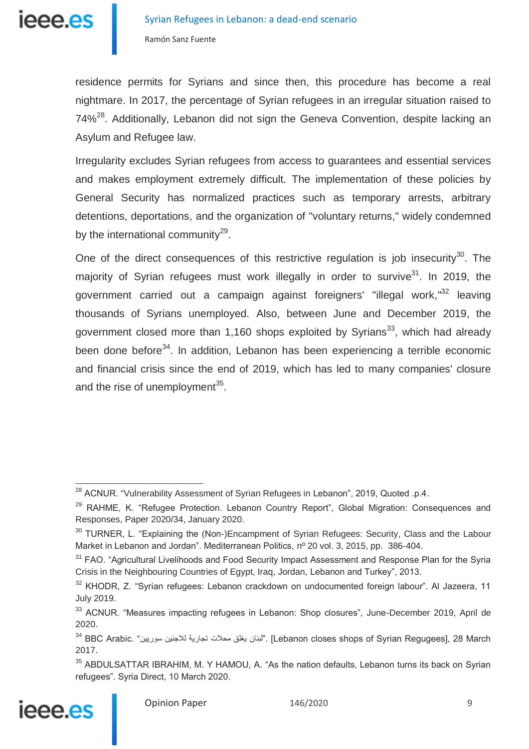

residence permits for Syrians and since then, this procedure has become a real nightmare. In 2017, the percentage of Syrian refugees in an irregular situation raised to 74%<sup>28</sup>. Additionally, Lebanon did not sign the Geneva Convention, despite lacking an Asylum and Refugee law.

Irregularity excludes Syrian refugees from access to guarantees and essential services and makes employment extremely difficult. The implementation of these policies by General Security has normalized practices such as temporary arrests, arbitrary detentions, deportations, and the organization of "voluntary returns," widely condemned by the international community<sup>29</sup>.

One of the direct consequences of this restrictive regulation is job insecurity<sup>30</sup>. The majority of Syrian refugees must work illegally in order to survive $31$ . In 2019. the government carried out a campaign against foreigners' "illegal work,"<sup>32</sup> leaving thousands of Syrians unemployed. Also, between June and December 2019, the government closed more than 1,160 shops exploited by Syrians<sup>33</sup>, which had already been done before<sup>34</sup>. In addition, Lebanon has been experiencing a terrible economic and financial crisis since the end of 2019, which has led to many companies' closure and the rise of unemployment<sup>35</sup>.

<sup>&</sup>lt;sup>35</sup> ABDULSATTAR IBRAHIM, M. Y HAMOU, A. "As the nation defaults, Lebanon turns its back on Syrian refugees". Syria Direct, 10 March 2020.



 $\overline{\phantom{a}}$ 

Opinion Paper 146/2020 9

<sup>&</sup>lt;sup>28</sup> ACNUR. "Vulnerability Assessment of Syrian Refugees in Lebanon", 2019, Quoted .p.4.

 $29$  RAHME, K. "Refugee Protection. Lebanon Country Report", Global Migration: Consequences and Responses, Paper 2020/34, January 2020.

<sup>&</sup>lt;sup>30</sup> TURNER, L. "Explaining the (Non-)Encampment of Syrian Refugees: Security, Class and the Labour Market in Lebanon and Jordan". Mediterranean Politics, nº 20 vol. 3, 2015, pp. 386-404.

<sup>&</sup>lt;sup>31</sup> FAO. "Agricultural Livelihoods and Food Security Impact Assessment and Response Plan for the Syria Crisis in the Neighbouring Countries of Egypt, Iraq, Jordan, Lebanon and Turkey", 2013.

<sup>32</sup> KHODR, Z. "Syrian refugees: Lebanon crackdown on undocumented foreign labour". Al Jazeera, 11 July 2019.

<sup>33</sup> ACNUR. "Measures impacting refugees in Lebanon: Shop closures", June-December 2019, April de 2020.

 $^{34}$  BBC Arabic. "أبنان يغلق محلات تجارية للاجئين سوريين". [Lebanon closes shops of Svrian Regugees], 28 March 2017.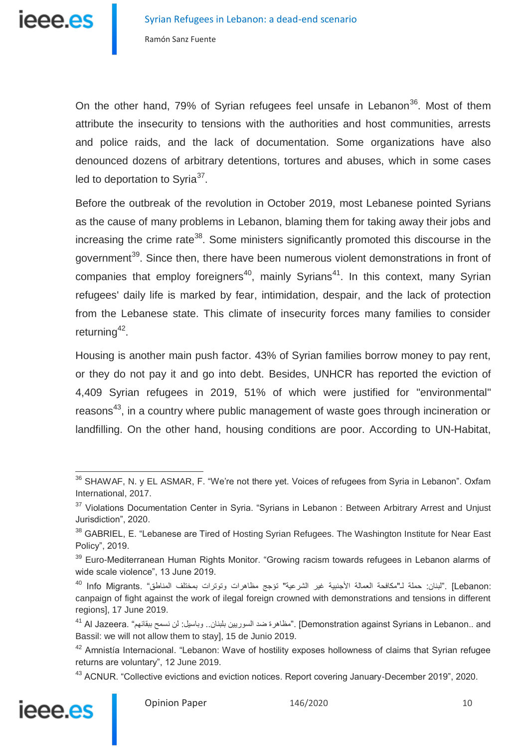

On the other hand, 79% of Syrian refugees feel unsafe in Lebanon<sup>36</sup>. Most of them attribute the insecurity to tensions with the authorities and host communities, arrests and police raids, and the lack of documentation. Some organizations have also denounced dozens of arbitrary detentions, tortures and abuses, which in some cases led to deportation to Syria<sup>37</sup>.

Before the outbreak of the revolution in October 2019, most Lebanese pointed Syrians as the cause of many problems in Lebanon, blaming them for taking away their jobs and increasing the crime rate<sup>38</sup>. Some ministers significantly promoted this discourse in the government<sup>39</sup>. Since then, there have been numerous violent demonstrations in front of companies that employ foreigners<sup>40</sup>, mainly Syrians<sup>41</sup>. In this context, many Syrian refugees' daily life is marked by fear, intimidation, despair, and the lack of protection from the Lebanese state. This climate of insecurity forces many families to consider returning<sup>42</sup>.

Housing is another main push factor. 43% of Syrian families borrow money to pay rent, or they do not pay it and go into debt. Besides, UNHCR has reported the eviction of 4,409 Syrian refugees in 2019, 51% of which were justified for "environmental" reasons<sup>43</sup>, in a country where public management of waste goes through incineration or landfilling. On the other hand, housing conditions are poor. According to UN-Habitat,

<sup>&</sup>lt;sup>43</sup> ACNUR. "Collective evictions and eviction notices. Report covering January-December 2019", 2020.



j  $36$  SHAWAF, N. y EL ASMAR, F. "We're not there yet. Voices of refugees from Syria in Lebanon". Oxfam International, 2017.

<sup>&</sup>lt;sup>37</sup> Violations Documentation Center in Syria. "Syrians in Lebanon : Between Arbitrary Arrest and Unjust Jurisdiction", 2020.

<sup>&</sup>lt;sup>38</sup> GABRIEL, E. "Lebanese are Tired of Hosting Syrian Refugees. The Washington Institute for Near East Policy", 2019.

<sup>&</sup>lt;sup>39</sup> Euro-Mediterranean Human Rights Monitor. "Growing racism towards refugees in Lebanon alarms of wide scale violence", 13 June 2019.

<sup>:</sup>Lebanon [.."لبنان: حملة لـ"مكافحة العمالة الأجنبية غير الشرعية" تؤجج مظاهرات وتوترات بمختلف المناطق" .Info Migrants <sup>40</sup> canpaign of fight against the work of ilegal foreign crowned with demonstrations and tensions in different regions], 17 June 2019.

<sup>&</sup>lt;sup>41</sup> Al Jazeera. "مظاهرة ضد السوريين بلبنان.. وباسيل: لن نسمح ببقائهم" .Al Jazeera Al <sup>41</sup> Al A Bassil: we will not allow them to stay], 15 de Junio 2019.

<sup>&</sup>lt;sup>42</sup> Amnistía Internacional. "Lebanon: Wave of hostility exposes hollowness of claims that Syrian refugee returns are voluntary", 12 June 2019.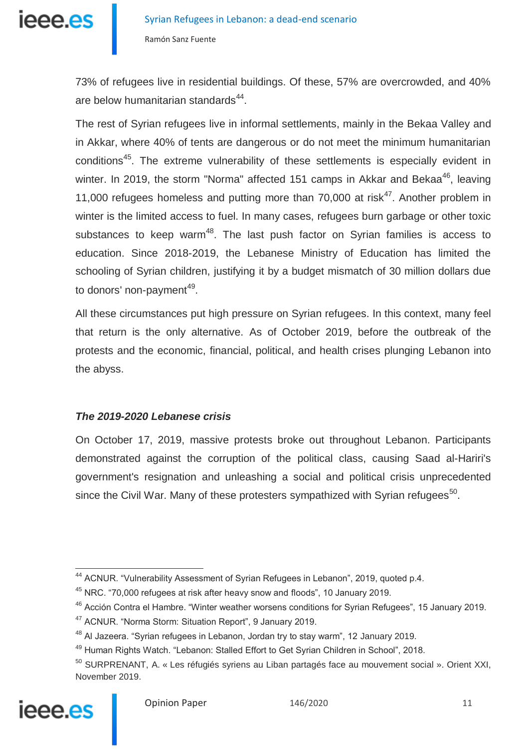

73% of refugees live in residential buildings. Of these, 57% are overcrowded, and 40% are below humanitarian standards<sup>44</sup>.

The rest of Syrian refugees live in informal settlements, mainly in the Bekaa Valley and in Akkar, where 40% of tents are dangerous or do not meet the minimum humanitarian conditions<sup>45</sup>. The extreme vulnerability of these settlements is especially evident in winter. In 2019, the storm "Norma" affected 151 camps in Akkar and Bekaa<sup>46</sup>, leaving 11,000 refugees homeless and putting more than 70,000 at risk<sup>47</sup>. Another problem in winter is the limited access to fuel. In many cases, refugees burn garbage or other toxic substances to keep warm<sup>48</sup>. The last push factor on Syrian families is access to education. Since 2018-2019, the Lebanese Ministry of Education has limited the schooling of Syrian children, justifying it by a budget mismatch of 30 million dollars due to donors' non-payment<sup>49</sup>.

All these circumstances put high pressure on Syrian refugees. In this context, many feel that return is the only alternative. As of October 2019, before the outbreak of the protests and the economic, financial, political, and health crises plunging Lebanon into the abyss.

### *The 2019-2020 Lebanese crisis*

On October 17, 2019, massive protests broke out throughout Lebanon. Participants demonstrated against the corruption of the political class, causing Saad al-Hariri's government's resignation and unleashing a social and political crisis unprecedented since the Civil War. Many of these protesters sympathized with Syrian refugees<sup>50</sup>.

<sup>&</sup>lt;sup>50</sup> SURPRENANT, A. « Les réfugiés syriens au Liban partagés face au mouvement social ». Orient XXI, November 2019.



 $\overline{a}$ <sup>44</sup> ACNUR. "Vulnerability Assessment of Syrian Refugees in Lebanon", 2019, quoted p.4.

 $45$  NRC.  $470,000$  refugees at risk after heavy snow and floods", 10 January 2019.

<sup>46</sup> Acción Contra el Hambre. "Winter weather worsens conditions for Syrian Refugees", 15 January 2019.

<sup>47</sup> ACNUR. "Norma Storm: Situation Report", 9 January 2019.

<sup>&</sup>lt;sup>48</sup> Al Jazeera. "Syrian refugees in Lebanon, Jordan try to stay warm", 12 January 2019.

<sup>49</sup> Human Rights Watch. "Lebanon: Stalled Effort to Get Syrian Children in School", 2018.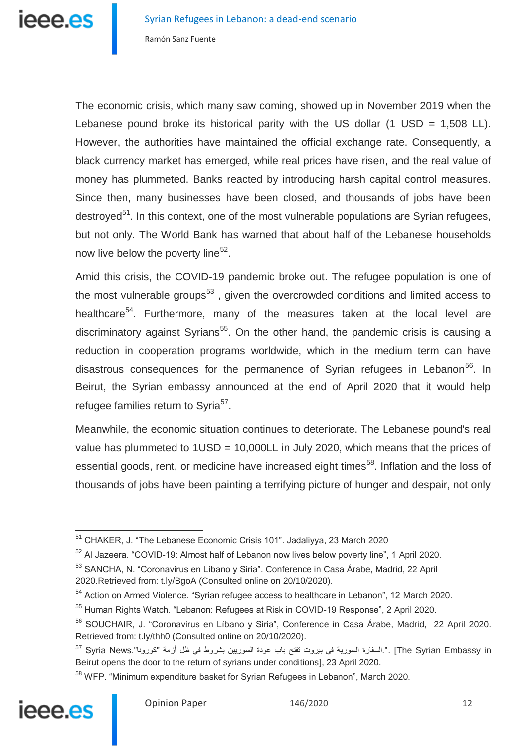The economic crisis, which many saw coming, showed up in November 2019 when the Lebanese pound broke its historical parity with the US dollar  $(1 \text{ USD} = 1,508 \text{ LL})$ . However, the authorities have maintained the official exchange rate. Consequently, a black currency market has emerged, while real prices have risen, and the real value of money has plummeted. Banks reacted by introducing harsh capital control measures. Since then, many businesses have been closed, and thousands of jobs have been destroyed<sup>51</sup>. In this context, one of the most vulnerable populations are Syrian refugees, but not only. The World Bank has warned that about half of the Lebanese households now live below the poverty line<sup>52</sup>.

Amid this crisis, the COVID-19 pandemic broke out. The refugee population is one of the most vulnerable groups<sup>53</sup>, given the overcrowded conditions and limited access to healthcare<sup>54</sup>. Furthermore, many of the measures taken at the local level are discriminatory against Syrians<sup>55</sup>. On the other hand, the pandemic crisis is causing a reduction in cooperation programs worldwide, which in the medium term can have disastrous consequences for the permanence of Syrian refugees in Lebanon<sup>56</sup>. In Beirut, the Syrian embassy announced at the end of April 2020 that it would help refugee families return to Syria<sup>57</sup>.

Meanwhile, the economic situation continues to deteriorate. The Lebanese pound's real value has plummeted to  $1USD = 10,000LL$  in July 2020, which means that the prices of essential goods, rent, or medicine have increased eight times<sup>58</sup>. Inflation and the loss of thousands of jobs have been painting a terrifying picture of hunger and despair, not only

<sup>58</sup> WFP. "Minimum expenditure basket for Syrian Refugees in Lebanon", March 2020.



<sup>&</sup>lt;sup>51</sup> CHAKER, J. "The Lebanese Economic Crisis 101". Jadaliyya, 23 March 2020

 $52$  Al Jazeera. "COVID-19: Almost half of Lebanon now lives below poverty line", 1 April 2020.

<sup>53</sup> SANCHA, N. "Coronavirus en Líbano y Siria". Conference in Casa Árabe, Madrid, 22 April 2020.Retrieved from: t.ly/BgoA (Consulted online on 20/10/2020).

<sup>&</sup>lt;sup>54</sup> Action on Armed Violence. "Syrian refugee access to healthcare in Lebanon", 12 March 2020.

<sup>55</sup> Human Rights Watch. "Lebanon: Refugees at Risk in COVID-19 Response", 2 April 2020.

<sup>56</sup> SOUCHAIR, J. "Coronavirus en Líbano y Siria", Conference in Casa Árabe, Madrid, 22 April 2020. Retrieved from: t.ly/thh0 (Consulted online on 20/10/2020).

 $^{57}$  Syria News."السفارة السورية في بيروت تفتح باب عودة السوريين بشروط في ظل أزمة "كورونا".News Syria News " Beirut opens the door to the return of syrians under conditions], 23 April 2020.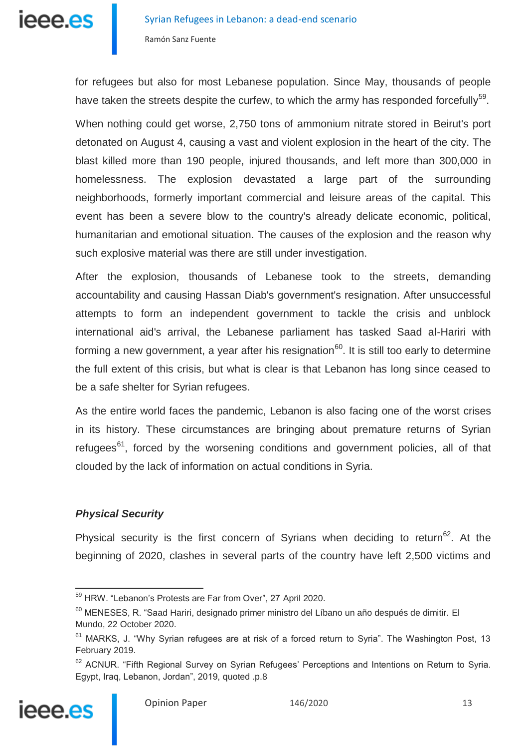

for refugees but also for most Lebanese population. Since May, thousands of people have taken the streets despite the curfew, to which the army has responded forcefully<sup>59</sup>.

When nothing could get worse, 2,750 tons of ammonium nitrate stored in Beirut's port detonated on August 4, causing a vast and violent explosion in the heart of the city. The blast killed more than 190 people, injured thousands, and left more than 300,000 in homelessness. The explosion devastated a large part of the surrounding neighborhoods, formerly important commercial and leisure areas of the capital. This event has been a severe blow to the country's already delicate economic, political, humanitarian and emotional situation. The causes of the explosion and the reason why such explosive material was there are still under investigation.

After the explosion, thousands of Lebanese took to the streets, demanding accountability and causing Hassan Diab's government's resignation. After unsuccessful attempts to form an independent government to tackle the crisis and unblock international aid's arrival, the Lebanese parliament has tasked Saad al-Hariri with forming a new government, a year after his resignation<sup>60</sup>. It is still too early to determine the full extent of this crisis, but what is clear is that Lebanon has long since ceased to be a safe shelter for Syrian refugees.

As the entire world faces the pandemic, Lebanon is also facing one of the worst crises in its history. These circumstances are bringing about premature returns of Syrian refugees<sup>61</sup>, forced by the worsening conditions and government policies, all of that clouded by the lack of information on actual conditions in Syria.

### *Physical Security*

Physical security is the first concern of Syrians when deciding to return<sup>62</sup>. At the beginning of 2020, clashes in several parts of the country have left 2,500 victims and

<sup>&</sup>lt;sup>62</sup> ACNUR. "Fifth Regional Survey on Syrian Refugees' Perceptions and Intentions on Return to Syria. Egypt, Iraq, Lebanon, Jordan", 2019, quoted .p.8



j

<sup>&</sup>lt;sup>59</sup> HRW. "Lebanon's Protests are Far from Over", 27 April 2020.

<sup>&</sup>lt;sup>60</sup> MENESES, R. "Saad Hariri, designado primer ministro del Líbano un año después de dimitir. El Mundo, 22 October 2020.

 $61$  MARKS, J. "Why Syrian refugees are at risk of a forced return to Syria". The Washington Post, 13 February 2019.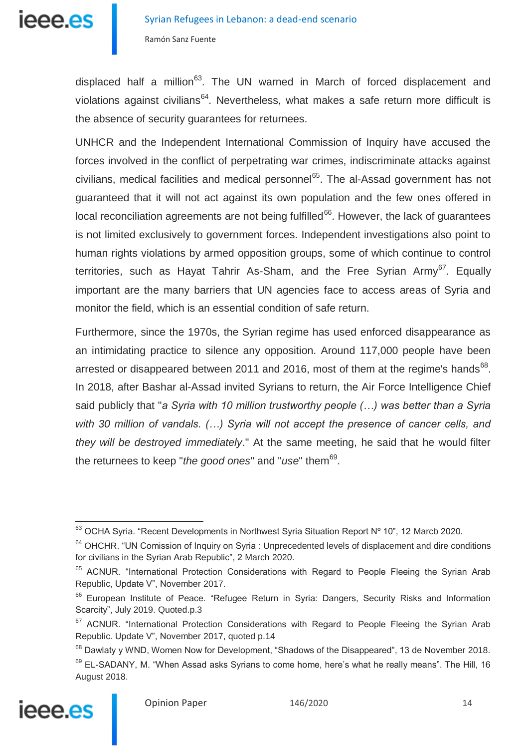

displaced half a million<sup>63</sup>. The UN warned in March of forced displacement and violations against civilians<sup>64</sup>. Nevertheless, what makes a safe return more difficult is the absence of security guarantees for returnees.

UNHCR and the Independent International Commission of Inquiry have accused the forces involved in the conflict of perpetrating war crimes, indiscriminate attacks against civilians, medical facilities and medical personnel<sup>65</sup>. The al-Assad government has not guaranteed that it will not act against its own population and the few ones offered in local reconciliation agreements are not being fulfilled $^{66}$ . However, the lack of guarantees is not limited exclusively to government forces. Independent investigations also point to human rights violations by armed opposition groups, some of which continue to control territories, such as Hayat Tahrir As-Sham, and the Free Syrian Army<sup>67</sup>. Equally important are the many barriers that UN agencies face to access areas of Syria and monitor the field, which is an essential condition of safe return.

Furthermore, since the 1970s, the Syrian regime has used enforced disappearance as an intimidating practice to silence any opposition. Around 117,000 people have been arrested or disappeared between 2011 and 2016, most of them at the regime's hands $^{68}$ . In 2018, after Bashar al-Assad invited Syrians to return, the Air Force Intelligence Chief said publicly that "*a Syria with 10 million trustworthy people (…) was better than a Syria with 30 million of vandals. (…) Syria will not accept the presence of cancer cells, and they will be destroyed immediately*." At the same meeting, he said that he would filter the returnees to keep "*the good ones*" and "*use*" them<sup>69</sup>.

<sup>69</sup> EL-SADANY, M. "When Assad asks Syrians to come home, here's what he really means". The Hill, 16 August 2018.



 $\overline{\phantom{a}}$  $63$  OCHA Syria. "Recent Developments in Northwest Syria Situation Report Nº 10", 12 Marcb 2020.

 $64$  OHCHR. "UN Comission of Inquiry on Syria : Unprecedented levels of displacement and dire conditions for civilians in the Syrian Arab Republic", 2 March 2020.

<sup>&</sup>lt;sup>65</sup> ACNUR. "International Protection Considerations with Regard to People Fleeing the Syrian Arab Republic, Update V", November 2017.

<sup>&</sup>lt;sup>66</sup> European Institute of Peace. "Refugee Return in Syria: Dangers, Security Risks and Information Scarcity", July 2019. Quoted.p.3

<sup>&</sup>lt;sup>67</sup> ACNUR. "International Protection Considerations with Regard to People Fleeing the Syrian Arab Republic. Update V", November 2017, quoted p.14

<sup>&</sup>lt;sup>68</sup> Dawlaty y WND, Women Now for Development, "Shadows of the Disappeared", 13 de November 2018.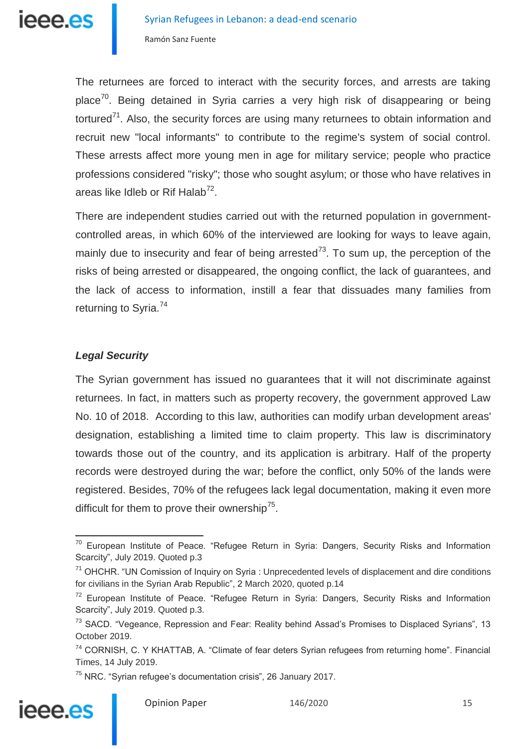

The returnees are forced to interact with the security forces, and arrests are taking place<sup>70</sup>. Being detained in Syria carries a very high risk of disappearing or being tortured<sup>71</sup>. Also, the security forces are using many returnees to obtain information and recruit new "local informants" to contribute to the regime's system of social control. These arrests affect more young men in age for military service; people who practice professions considered "risky"; those who sought asylum; or those who have relatives in areas like Idleb or Rif Halab<sup>72</sup>.

There are independent studies carried out with the returned population in governmentcontrolled areas, in which 60% of the interviewed are looking for ways to leave again, mainly due to insecurity and fear of being arrested<sup>73</sup>. To sum up, the perception of the risks of being arrested or disappeared, the ongoing conflict, the lack of guarantees, and the lack of access to information, instill a fear that dissuades many families from returning to Syria.<sup>74</sup>

#### *Legal Security*

The Syrian government has issued no guarantees that it will not discriminate against returnees. In fact, in matters such as property recovery, the government approved Law No. 10 of 2018. According to this law, authorities can modify urban development areas' designation, establishing a limited time to claim property. This law is discriminatory towards those out of the country, and its application is arbitrary. Half of the property records were destroyed during the war; before the conflict, only 50% of the lands were registered. Besides, 70% of the refugees lack legal documentation, making it even more difficult for them to prove their ownership<sup>75</sup>.

<sup>75</sup> NRC. "Syrian refugee's documentation crisis", 26 January 2017.



 $70$  European Institute of Peace. "Refugee Return in Syria: Dangers, Security Risks and Information Scarcity", July 2019. Quoted p.3

 $71$  OHCHR. "UN Comission of Inquiry on Syria : Unprecedented levels of displacement and dire conditions for civilians in the Syrian Arab Republic", 2 March 2020, quoted p.14

<sup>&</sup>lt;sup>72</sup> European Institute of Peace. "Refugee Return in Syria: Dangers, Security Risks and Information Scarcity", July 2019. Quoted p.3.

<sup>&</sup>lt;sup>73</sup> SACD. "Vegeance, Repression and Fear: Reality behind Assad's Promises to Displaced Syrians", 13 October 2019.

<sup>&</sup>lt;sup>74</sup> CORNISH, C. Y KHATTAB, A. "Climate of fear deters Syrian refugees from returning home". Financial Times, 14 July 2019.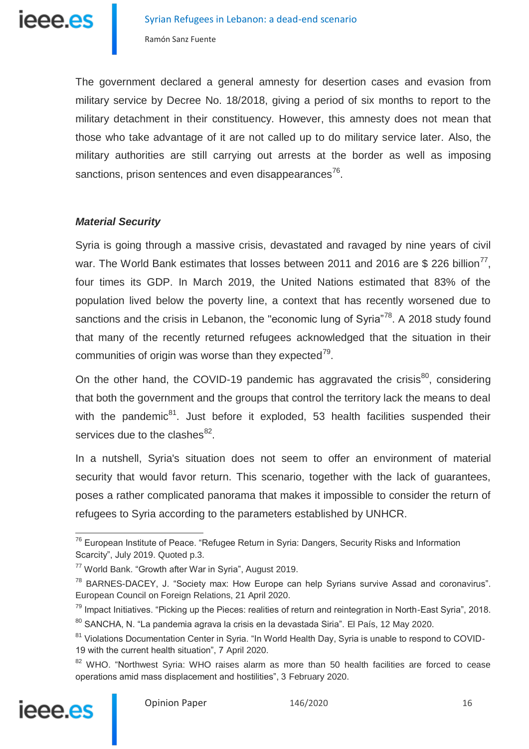The government declared a general amnesty for desertion cases and evasion from military service by Decree No. 18/2018, giving a period of six months to report to the military detachment in their constituency. However, this amnesty does not mean that those who take advantage of it are not called up to do military service later. Also, the military authorities are still carrying out arrests at the border as well as imposing sanctions, prison sentences and even disappearances $^{76}$ .

### *Material Security*

Syria is going through a massive crisis, devastated and ravaged by nine years of civil war. The World Bank estimates that losses between 2011 and 2016 are \$ 226 billion<sup>77</sup>, four times its GDP. In March 2019, the United Nations estimated that 83% of the population lived below the poverty line, a context that has recently worsened due to sanctions and the crisis in Lebanon, the "economic lung of Syria"<sup>78</sup>. A 2018 study found that many of the recently returned refugees acknowledged that the situation in their communities of origin was worse than they expected $^{79}$ .

On the other hand, the COVID-19 pandemic has aggravated the crisis $^{80}$ , considering that both the government and the groups that control the territory lack the means to deal with the pandemic<sup>81</sup>. Just before it exploded, 53 health facilities suspended their services due to the clashes<sup>82</sup>.

In a nutshell, Syria's situation does not seem to offer an environment of material security that would favor return. This scenario, together with the lack of guarantees, poses a rather complicated panorama that makes it impossible to consider the return of refugees to Syria according to the parameters established by UNHCR.

<sup>&</sup>lt;sup>82</sup> WHO. "Northwest Syria: WHO raises alarm as more than 50 health facilities are forced to cease operations amid mass displacement and hostilities", 3 February 2020.



 $\overline{a}$  $76$  European Institute of Peace. "Refugee Return in Syria: Dangers, Security Risks and Information Scarcity", July 2019. Quoted p.3.

<sup>77</sup> World Bank. "Growth after War in Syria", August 2019.

 $78$  BARNES-DACEY, J. "Society max: How Europe can help Syrians survive Assad and coronavirus". European Council on Foreign Relations, 21 April 2020.

<sup>&</sup>lt;sup>79</sup> Impact Initiatives. "Picking up the Pieces: realities of return and reintegration in North-East Syria", 2018.

<sup>80</sup> SANCHA, N. "La pandemia agrava la crisis en la devastada Siria". El País, 12 May 2020.

<sup>&</sup>lt;sup>81</sup> Violations Documentation Center in Syria. "In World Health Day, Syria is unable to respond to COVID-19 with the current health situation", 7 April 2020.